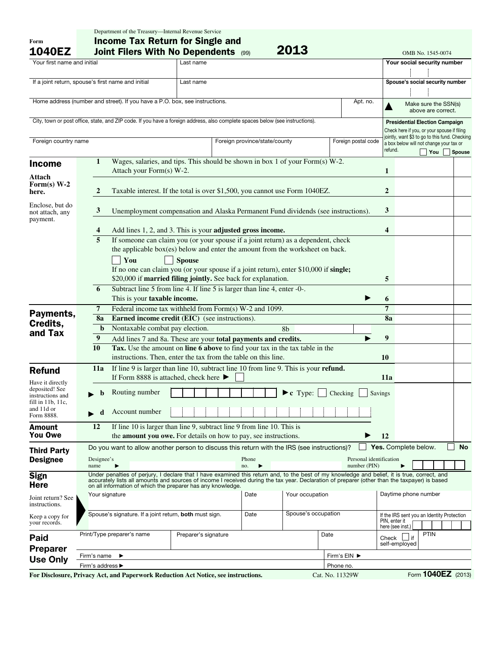| Form<br><b>1040EZ</b>                                                               |                  | <b>Income Tax Return for Single and</b><br>2013<br><b>Joint Filers With No Dependents (99)</b><br>OMB No. 1545-0074           |                                                                                                                                                                                                                                                                                                                                                              |                                                      |                               |                 |                                            |                                                                                               |     |           |  |  |
|-------------------------------------------------------------------------------------|------------------|-------------------------------------------------------------------------------------------------------------------------------|--------------------------------------------------------------------------------------------------------------------------------------------------------------------------------------------------------------------------------------------------------------------------------------------------------------------------------------------------------------|------------------------------------------------------|-------------------------------|-----------------|--------------------------------------------|-----------------------------------------------------------------------------------------------|-----|-----------|--|--|
| Your first name and initial                                                         |                  |                                                                                                                               | Last name                                                                                                                                                                                                                                                                                                                                                    |                                                      |                               |                 |                                            | Your social security number                                                                   |     |           |  |  |
|                                                                                     |                  |                                                                                                                               |                                                                                                                                                                                                                                                                                                                                                              |                                                      |                               |                 |                                            |                                                                                               |     |           |  |  |
| If a joint return, spouse's first name and initial<br>Last name                     |                  |                                                                                                                               |                                                                                                                                                                                                                                                                                                                                                              |                                                      |                               |                 | Spouse's social security number            |                                                                                               |     |           |  |  |
|                                                                                     |                  |                                                                                                                               |                                                                                                                                                                                                                                                                                                                                                              |                                                      |                               |                 |                                            |                                                                                               |     |           |  |  |
|                                                                                     |                  |                                                                                                                               |                                                                                                                                                                                                                                                                                                                                                              |                                                      |                               | Apt. no.        |                                            |                                                                                               |     |           |  |  |
| Home address (number and street). If you have a P.O. box, see instructions.         |                  |                                                                                                                               |                                                                                                                                                                                                                                                                                                                                                              |                                                      |                               |                 | Make sure the SSN(s)<br>above are correct. |                                                                                               |     |           |  |  |
|                                                                                     |                  |                                                                                                                               |                                                                                                                                                                                                                                                                                                                                                              |                                                      |                               |                 |                                            |                                                                                               |     |           |  |  |
|                                                                                     |                  | City, town or post office, state, and ZIP code. If you have a foreign address, also complete spaces below (see instructions). |                                                                                                                                                                                                                                                                                                                                                              |                                                      |                               |                 |                                            | <b>Presidential Election Campaign</b>                                                         |     |           |  |  |
|                                                                                     |                  |                                                                                                                               |                                                                                                                                                                                                                                                                                                                                                              |                                                      |                               |                 |                                            | Check here if you, or your spouse if filing<br>jointly, want \$3 to go to this fund. Checking |     |           |  |  |
| Foreign country name                                                                |                  |                                                                                                                               |                                                                                                                                                                                                                                                                                                                                                              | Foreign province/state/county<br>Foreign postal code |                               |                 |                                            | a box below will not change your tax or                                                       |     |           |  |  |
|                                                                                     |                  |                                                                                                                               |                                                                                                                                                                                                                                                                                                                                                              |                                                      |                               |                 | refund.                                    |                                                                                               | You | Spouse    |  |  |
| <b>Income</b>                                                                       | 1                |                                                                                                                               | Wages, salaries, and tips. This should be shown in box 1 of your Form(s) W-2.                                                                                                                                                                                                                                                                                |                                                      |                               |                 |                                            |                                                                                               |     |           |  |  |
|                                                                                     |                  | Attach your Form(s) W-2.                                                                                                      |                                                                                                                                                                                                                                                                                                                                                              |                                                      |                               |                 | 1                                          |                                                                                               |     |           |  |  |
| Attach<br>Form $(s)$ W-2<br>here.                                                   |                  | Taxable interest. If the total is over \$1,500, you cannot use Form 1040EZ.<br>2                                              |                                                                                                                                                                                                                                                                                                                                                              |                                                      |                               |                 |                                            |                                                                                               |     |           |  |  |
| Enclose, but do                                                                     |                  |                                                                                                                               |                                                                                                                                                                                                                                                                                                                                                              |                                                      |                               |                 | 3                                          |                                                                                               |     |           |  |  |
| not attach, any<br>payment.                                                         |                  | 3<br>Unemployment compensation and Alaska Permanent Fund dividends (see instructions).                                        |                                                                                                                                                                                                                                                                                                                                                              |                                                      |                               |                 |                                            |                                                                                               |     |           |  |  |
|                                                                                     | 4                |                                                                                                                               | Add lines 1, 2, and 3. This is your adjusted gross income.                                                                                                                                                                                                                                                                                                   |                                                      |                               |                 | 4                                          |                                                                                               |     |           |  |  |
|                                                                                     |                  | If someone can claim you (or your spouse if a joint return) as a dependent, check<br>$\overline{5}$                           |                                                                                                                                                                                                                                                                                                                                                              |                                                      |                               |                 |                                            |                                                                                               |     |           |  |  |
|                                                                                     |                  | the applicable box(es) below and enter the amount from the worksheet on back.                                                 |                                                                                                                                                                                                                                                                                                                                                              |                                                      |                               |                 |                                            |                                                                                               |     |           |  |  |
|                                                                                     |                  | You                                                                                                                           | <b>Spouse</b>                                                                                                                                                                                                                                                                                                                                                |                                                      |                               |                 |                                            |                                                                                               |     |           |  |  |
|                                                                                     |                  |                                                                                                                               | If no one can claim you (or your spouse if a joint return), enter \$10,000 if single;                                                                                                                                                                                                                                                                        |                                                      |                               |                 |                                            |                                                                                               |     |           |  |  |
|                                                                                     |                  |                                                                                                                               | \$20,000 if married filing jointly. See back for explanation.                                                                                                                                                                                                                                                                                                |                                                      |                               |                 | 5                                          |                                                                                               |     |           |  |  |
|                                                                                     | 6                |                                                                                                                               | Subtract line 5 from line 4. If line 5 is larger than line 4, enter -0-.                                                                                                                                                                                                                                                                                     |                                                      |                               |                 |                                            |                                                                                               |     |           |  |  |
|                                                                                     |                  | This is your taxable income.                                                                                                  |                                                                                                                                                                                                                                                                                                                                                              |                                                      |                               |                 | 6                                          |                                                                                               |     |           |  |  |
| Payments,<br>Credits,<br>and Tax                                                    |                  | 7                                                                                                                             | Federal income tax withheld from Form(s) W-2 and 1099.                                                                                                                                                                                                                                                                                                       |                                                      |                               |                 | 7                                          |                                                                                               |     |           |  |  |
|                                                                                     |                  | 8a                                                                                                                            | Earned income credit (EIC) (see instructions).                                                                                                                                                                                                                                                                                                               |                                                      |                               |                 | 8a                                         |                                                                                               |     |           |  |  |
|                                                                                     |                  | Nontaxable combat pay election.<br>$\mathbf b$                                                                                |                                                                                                                                                                                                                                                                                                                                                              |                                                      | 8b                            |                 |                                            |                                                                                               |     |           |  |  |
|                                                                                     | $\boldsymbol{9}$ |                                                                                                                               | Add lines 7 and 8a. These are your total payments and credits.                                                                                                                                                                                                                                                                                               |                                                      |                               |                 |                                            |                                                                                               |     |           |  |  |
|                                                                                     |                  | 10<br>Tax. Use the amount on line 6 above to find your tax in the tax table in the                                            |                                                                                                                                                                                                                                                                                                                                                              |                                                      |                               |                 |                                            |                                                                                               |     |           |  |  |
|                                                                                     |                  | instructions. Then, enter the tax from the table on this line.                                                                |                                                                                                                                                                                                                                                                                                                                                              |                                                      |                               |                 |                                            |                                                                                               |     |           |  |  |
|                                                                                     | 11a              |                                                                                                                               | 10<br>If line 9 is larger than line 10, subtract line 10 from line 9. This is your refund.                                                                                                                                                                                                                                                                   |                                                      |                               |                 |                                            |                                                                                               |     |           |  |  |
| <b>Refund</b>                                                                       |                  |                                                                                                                               | If Form 8888 is attached, check here $\blacktriangleright$<br>11a                                                                                                                                                                                                                                                                                            |                                                      |                               |                 |                                            |                                                                                               |     |           |  |  |
| Have it directly                                                                    |                  |                                                                                                                               |                                                                                                                                                                                                                                                                                                                                                              |                                                      |                               |                 |                                            |                                                                                               |     |           |  |  |
| deposited! See<br>instructions and<br>fill in 11b, 11c,<br>and 11d or<br>Form 8888. |                  | Routing number                                                                                                                |                                                                                                                                                                                                                                                                                                                                                              |                                                      | $\blacktriangleright$ c Type: | Checking        | Savings                                    |                                                                                               |     |           |  |  |
|                                                                                     |                  | Account number<br>d                                                                                                           |                                                                                                                                                                                                                                                                                                                                                              |                                                      |                               |                 |                                            |                                                                                               |     |           |  |  |
| <b>Amount</b>                                                                       | 12               | If line 10 is larger than line 9, subtract line 9 from line 10. This is                                                       |                                                                                                                                                                                                                                                                                                                                                              |                                                      |                               |                 |                                            |                                                                                               |     |           |  |  |
| You Owe                                                                             |                  | the <b>amount vou owe.</b> For details on how to pay, see instructions.                                                       | 12                                                                                                                                                                                                                                                                                                                                                           |                                                      |                               |                 |                                            |                                                                                               |     |           |  |  |
| <b>Third Party</b>                                                                  |                  | Do you want to allow another person to discuss this return with the IRS (see instructions)?                                   |                                                                                                                                                                                                                                                                                                                                                              |                                                      |                               |                 |                                            | Yes. Complete below.                                                                          |     | <b>No</b> |  |  |
| <b>Designee</b>                                                                     |                  | Designee's                                                                                                                    | Personal identification                                                                                                                                                                                                                                                                                                                                      |                                                      |                               |                 |                                            |                                                                                               |     |           |  |  |
|                                                                                     |                  | Phone<br>number (PIN)<br>name<br>no.                                                                                          |                                                                                                                                                                                                                                                                                                                                                              |                                                      |                               |                 |                                            |                                                                                               |     |           |  |  |
| <b>Sign</b><br><b>Here</b>                                                          |                  |                                                                                                                               | Under penalties of perjury, I declare that I have examined this return and, to the best of my knowledge and belief, it is true, correct, and<br>accurately lists all amounts and sources of income I received during the tax year. Declaration of preparer (other than the taxpayer) is based<br>on all information of which the preparer has any knowledge. |                                                      |                               |                 |                                            |                                                                                               |     |           |  |  |
| Joint return? See                                                                   |                  | Your signature                                                                                                                |                                                                                                                                                                                                                                                                                                                                                              | Date                                                 | Your occupation               |                 |                                            | Daytime phone number                                                                          |     |           |  |  |
| instructions.                                                                       |                  |                                                                                                                               |                                                                                                                                                                                                                                                                                                                                                              |                                                      |                               |                 |                                            |                                                                                               |     |           |  |  |
| Keep a copy for<br>your records.                                                    |                  | Spouse's signature. If a joint return, both must sign.                                                                        |                                                                                                                                                                                                                                                                                                                                                              | Date                                                 | Spouse's occupation           |                 |                                            | If the IRS sent you an Identity Protection                                                    |     |           |  |  |
|                                                                                     |                  |                                                                                                                               |                                                                                                                                                                                                                                                                                                                                                              |                                                      |                               |                 | PIN, enter it                              | here (see inst.)                                                                              |     |           |  |  |
|                                                                                     |                  | Print/Type preparer's name                                                                                                    | Preparer's signature<br>Date                                                                                                                                                                                                                                                                                                                                 |                                                      |                               |                 |                                            | PTIN                                                                                          |     |           |  |  |
| Paid                                                                                |                  |                                                                                                                               |                                                                                                                                                                                                                                                                                                                                                              |                                                      |                               |                 |                                            | Check $\Box$ if<br>self-employed                                                              |     |           |  |  |
| <b>Preparer</b>                                                                     | Firm's name      | ▶                                                                                                                             |                                                                                                                                                                                                                                                                                                                                                              |                                                      |                               | Firm's EIN ▶    |                                            |                                                                                               |     |           |  |  |
| <b>Use Only</b>                                                                     |                  | Firm's address ▶                                                                                                              |                                                                                                                                                                                                                                                                                                                                                              | Phone no.                                            |                               |                 |                                            |                                                                                               |     |           |  |  |
|                                                                                     |                  | For Disclosure, Privacy Act, and Paperwork Reduction Act Notice, see instructions.                                            |                                                                                                                                                                                                                                                                                                                                                              |                                                      |                               | Cat. No. 11329W |                                            | Form 1040EZ (2013)                                                                            |     |           |  |  |

Department of the Treasury—Internal Revenue Service